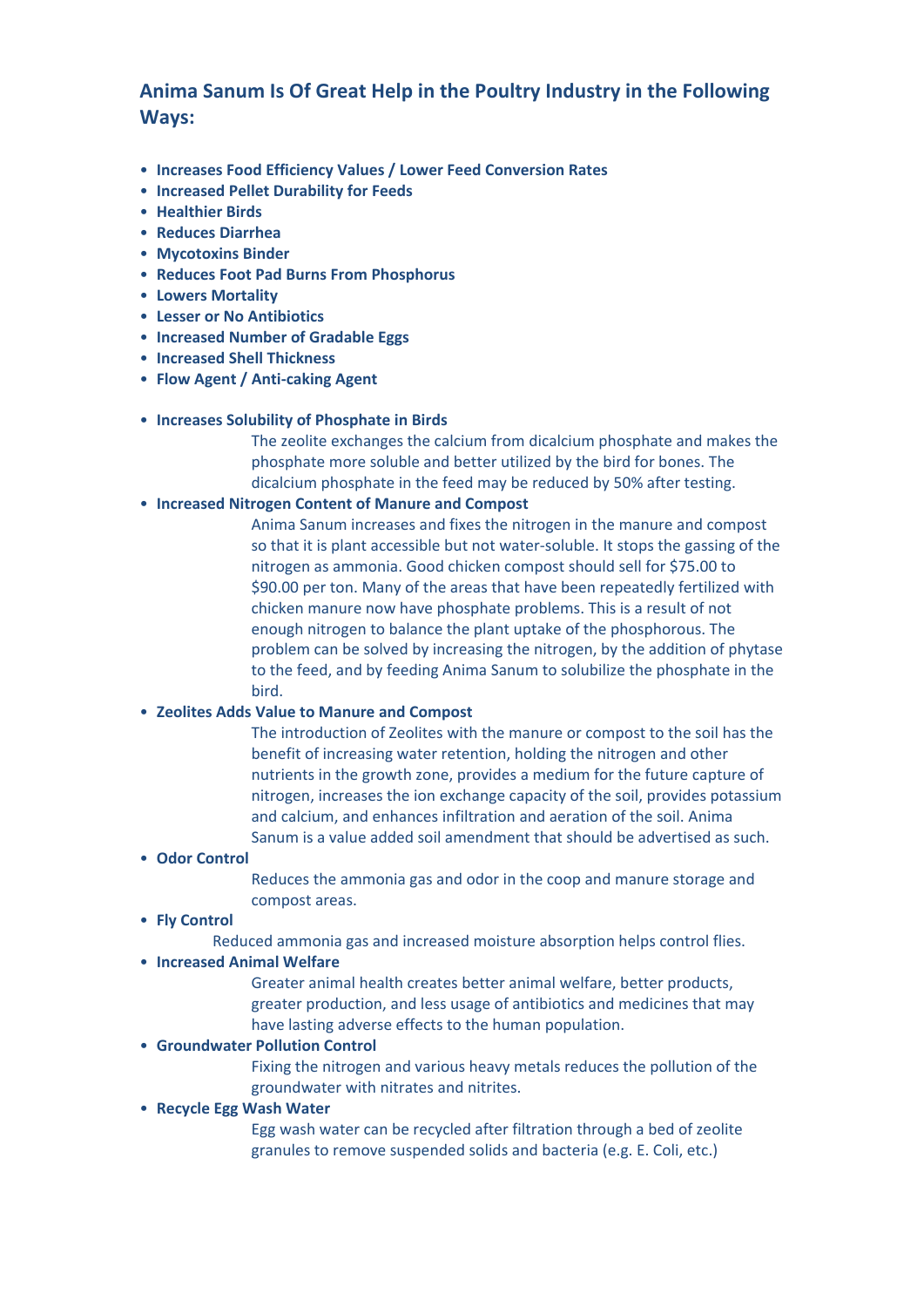# **Anima Sanum Is Of Great Help in the Poultry Industry in the Following Ways:**

- **Increases Food Efficiency Values / Lower Feed Conversion Rates**
- **Increased Pellet Durability for Feeds**
- **Healthier Birds**
- **Reduces Diarrhea**
- **Mycotoxins Binder**
- **Reduces Foot Pad Burns From Phosphorus**
- **Lowers Mortality**
- **Lesser or No Antibiotics**
- **Increased Number of Gradable Eggs**
- **Increased Shell Thickness**
- **Flow Agent / Anti‐caking Agent**

#### • **Increases Solubility of Phosphate in Birds**

 The zeolite exchanges the calcium from dicalcium phosphate and makes the phosphate more soluble and better utilized by the bird for bones. The dicalcium phosphate in the feed may be reduced by 50% after testing.

#### • **Increased Nitrogen Content of Manure and Compost**

 Anima Sanum increases and fixes the nitrogen in the manure and compost so that it is plant accessible but not water-soluble. It stops the gassing of the nitrogen as ammonia. Good chicken compost should sell for \$75.00 to \$90.00 per ton. Many of the areas that have been repeatedly fertilized with chicken manure now have phosphate problems. This is a result of not enough nitrogen to balance the plant uptake of the phosphorous. The problem can be solved by increasing the nitrogen, by the addition of phytase to the feed, and by feeding Anima Sanum to solubilize the phosphate in the bird.

#### • **Zeolites Adds Value to Manure and Compost**

 The introduction of Zeolites with the manure or compost to the soil has the benefit of increasing water retention, holding the nitrogen and other nutrients in the growth zone, provides a medium for the future capture of nitrogen, increases the ion exchange capacity of the soil, provides potassium and calcium, and enhances infiltration and aeration of the soil. Anima Sanum is a value added soil amendment that should be advertised as such.

#### • **Odor Control**

 Reduces the ammonia gas and odor in the coop and manure storage and compost areas.

#### • **Fly Control**

Reduced ammonia gas and increased moisture absorption helps control flies.

#### • **Increased Animal Welfare**

 Greater animal health creates better animal welfare, better products, greater production, and less usage of antibiotics and medicines that may have lasting adverse effects to the human population.

### • **Groundwater Pollution Control**

 Fixing the nitrogen and various heavy metals reduces the pollution of the groundwater with nitrates and nitrites.

### • **Recycle Egg Wash Water**

 Egg wash water can be recycled after filtration through a bed of zeolite granules to remove suspended solids and bacteria (e.g. E. Coli, etc.)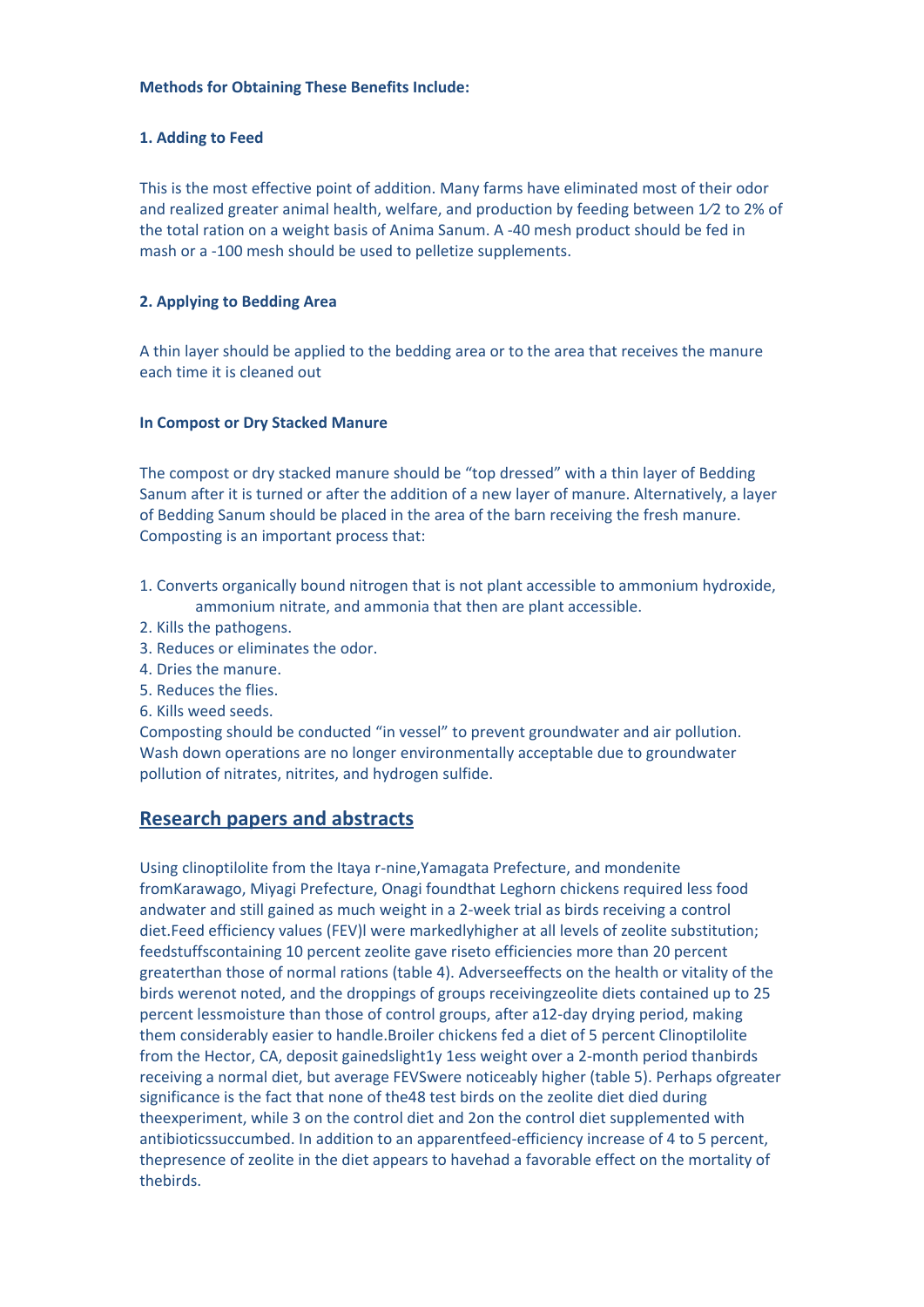#### **Methods for Obtaining These Benefits Include:**

#### **1. Adding to Feed**

This is the most effective point of addition. Many farms have eliminated most of their odor and realized greater animal health, welfare, and production by feeding between 1⁄2 to 2% of the total ration on a weight basis of Anima Sanum. A -40 mesh product should be fed in mash or a -100 mesh should be used to pelletize supplements.

#### **2. Applying to Bedding Area**

A thin layer should be applied to the bedding area or to the area that receives the manure each time it is cleaned out

#### **In Compost or Dry Stacked Manure**

The compost or dry stacked manure should be "top dressed" with a thin layer of Bedding Sanum after it is turned or after the addition of a new layer of manure. Alternatively, a layer of Bedding Sanum should be placed in the area of the barn receiving the fresh manure. Composting is an important process that:

- 1. Converts organically bound nitrogen that is not plant accessible to ammonium hydroxide, ammonium nitrate, and ammonia that then are plant accessible.
- 2. Kills the pathogens.
- 3. Reduces or eliminates the odor.
- 4. Dries the manure.
- 5. Reduces the flies.
- 6. Kills weed seeds.

Composting should be conducted "in vessel" to prevent groundwater and air pollution. Wash down operations are no longer environmentally acceptable due to groundwater pollution of nitrates, nitrites, and hydrogen sulfide.

#### **Research papers and abstracts**

Using clinoptilolite from the Itaya r-nine,Yamagata Prefecture, and mondenite fromKarawago, Miyagi Prefecture, Onagi foundthat Leghorn chickens required less food andwater and still gained as much weight in a 2-week trial as birds receiving a control diet.Feed efficiency values (FEV)l were markedlyhigher at all levels of zeolite substitution; feedstuffscontaining 10 percent zeolite gave riseto efficiencies more than 20 percent greaterthan those of normal rations (table 4). Adverseeffects on the health or vitality of the birds werenot noted, and the droppings of groups receivingzeolite diets contained up to 25 percent lessmoisture than those of control groups, after a12-day drying period, making them considerably easier to handle.Broiler chickens fed a diet of 5 percent Clinoptilolite from the Hector, CA, deposit gainedslight1y 1ess weight over a 2-month period thanbirds receiving a normal diet, but average FEVSwere noticeably higher (table 5). Perhaps ofgreater significance is the fact that none of the48 test birds on the zeolite diet died during theexperiment, while 3 on the control diet and 2on the control diet supplemented with antibioticssuccumbed. In addition to an apparentfeed-efficiency increase of 4 to 5 percent, thepresence of zeolite in the diet appears to havehad a favorable effect on the mortality of thebirds.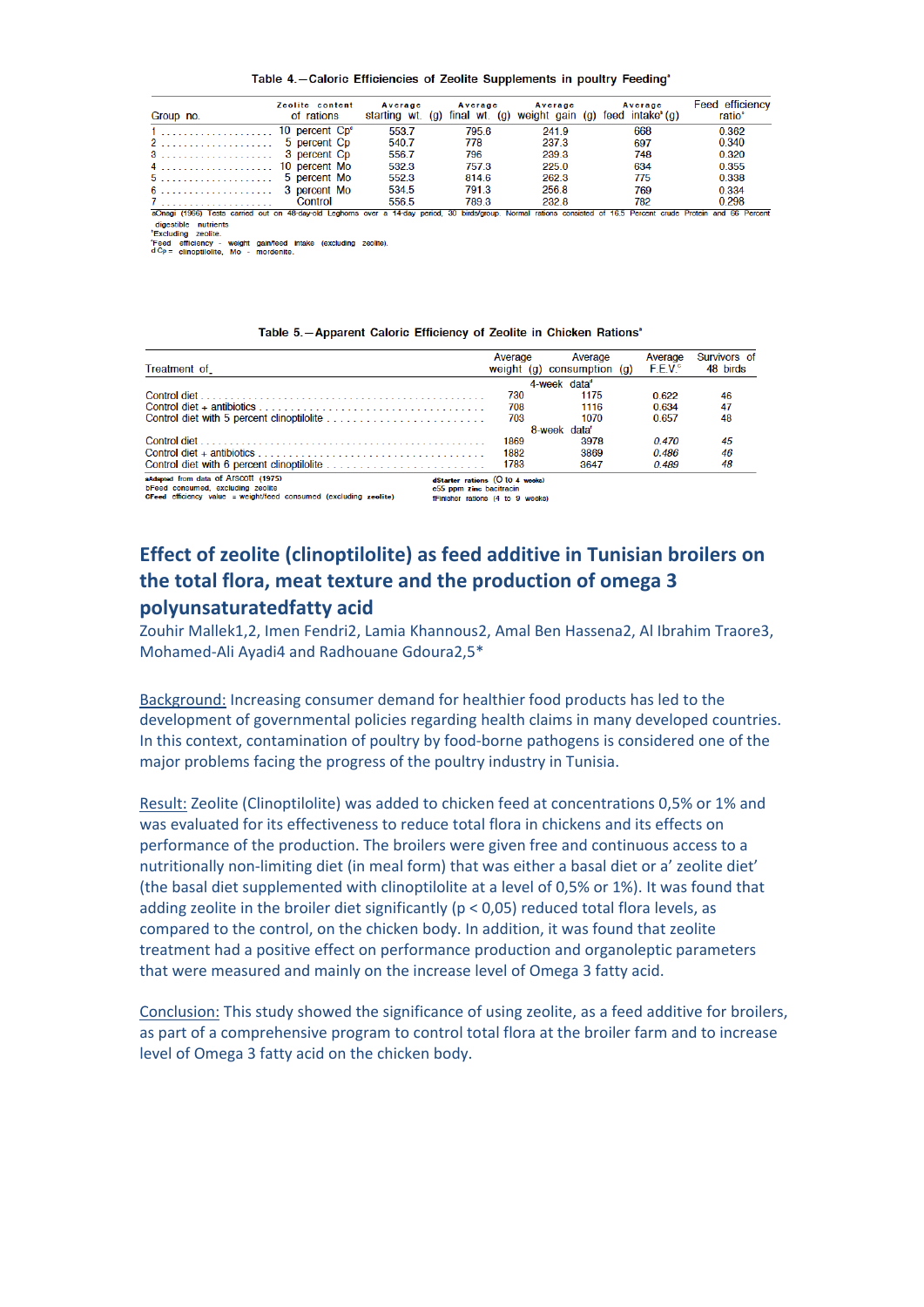Table 4.-Caloric Efficiencies of Zeolite Supplements in poultry Feeding'

| Group no.                                                                                                                                                          | Zeolite content<br>of rations | Average | Average | Average<br>starting wt. (g) final wt. (g) weight gain (g) feed intake $(g)$ | Average | Feed efficiency<br>ratio <sup>®</sup> |
|--------------------------------------------------------------------------------------------------------------------------------------------------------------------|-------------------------------|---------|---------|-----------------------------------------------------------------------------|---------|---------------------------------------|
|                                                                                                                                                                    | 10 percent Cp <sup>4</sup>    | 553.7   | 795.6   | 241.9                                                                       | 668     | 0.362                                 |
| 2 5 percent Cp                                                                                                                                                     |                               | 540.7   | 778     | 237.3                                                                       | 697     | 0.340                                 |
|                                                                                                                                                                    | 3 percent Cp                  | 556.7   | 796     | 239.3                                                                       | 748     | 0.320                                 |
|                                                                                                                                                                    |                               | 532.3   | 757.3   | 225.0                                                                       | 634     | 0.355                                 |
|                                                                                                                                                                    | 5 percent Mo                  | 552.3   | 814.6   | 262.3                                                                       | 775     | 0.338                                 |
|                                                                                                                                                                    |                               | 534.5   | 791.3   | 256.8                                                                       | 769     | 0.334                                 |
|                                                                                                                                                                    | Control                       | 556.5   | 789.3   | 232.8                                                                       | 782     | 0.298                                 |
| aOnagi (1966) Tests carried out on 48-day-old Leghorns over a 14-day period, 30 birds/group. Normal rations consisted of 16.5 Percent crude Protein and 66 Percent |                               |         |         |                                                                             |         |                                       |
| digestible nutrients<br><i>Excluding</i> zeolite.                                                                                                                  |                               |         |         |                                                                             |         |                                       |

'Feed efficiency - weight gain/feed intake (excluding zeolite).<br>d Cp = clinoptilolite, Mo - mordenite.

#### Table 5.-Apparent Caloric Efficiency of Zeolite in Chicken Rations'

|                                                                                                                                                | Average                                                                                        |  | Average                              | Average | Survivors of |  |  |
|------------------------------------------------------------------------------------------------------------------------------------------------|------------------------------------------------------------------------------------------------|--|--------------------------------------|---------|--------------|--|--|
| Treatment of                                                                                                                                   |                                                                                                |  | weight (g) consumption (g) $F.E.V.o$ |         | 48 birds     |  |  |
|                                                                                                                                                | 4-week data <sup>®</sup>                                                                       |  |                                      |         |              |  |  |
|                                                                                                                                                | 730                                                                                            |  | 1175                                 | 0.622   | 46           |  |  |
|                                                                                                                                                | 708                                                                                            |  | 1116                                 | 0.634   | 47           |  |  |
|                                                                                                                                                | 703                                                                                            |  | 1070                                 | 0.657   | 48           |  |  |
|                                                                                                                                                | 8-week data'                                                                                   |  |                                      |         |              |  |  |
|                                                                                                                                                | 1869                                                                                           |  | 3978                                 | 0.470   | 45           |  |  |
|                                                                                                                                                | 1882                                                                                           |  | 3869                                 | 0.486   | 46           |  |  |
|                                                                                                                                                | 1783                                                                                           |  | 3647                                 | 0.489   | 48           |  |  |
| aAdapted from data of Arscott (1975)<br>bFeed consumed, excluding zeolite<br>CFeed efficiency value = weight/feed consumed (excluding zeolite) | dStarter rations (O to 4 weeks)<br>e55 ppm zinc bacitracin<br>fFinisher rations (4 to 9 weeks) |  |                                      |         |              |  |  |

### **Effect of zeolite (clinoptilolite) as feed additive in Tunisian broilers on the total flora, meat texture and the production of omega 3 polyunsaturatedfatty acid**

Zouhir Mallek1,2, Imen Fendri2, Lamia Khannous2, Amal Ben Hassena2, Al Ibrahim Traore3, Mohamed-Ali Ayadi4 and Radhouane Gdoura2,5\*

Background: Increasing consumer demand for healthier food products has led to the development of governmental policies regarding health claims in many developed countries. In this context, contamination of poultry by food-borne pathogens is considered one of the major problems facing the progress of the poultry industry in Tunisia.

Result: Zeolite (Clinoptilolite) was added to chicken feed at concentrations 0,5% or 1% and was evaluated for its effectiveness to reduce total flora in chickens and its effects on performance of the production. The broilers were given free and continuous access to a nutritionally non-limiting diet (in meal form) that was either a basal diet or a' zeolite diet' (the basal diet supplemented with clinoptilolite at a level of 0,5% or 1%). It was found that adding zeolite in the broiler diet significantly (p < 0,05) reduced total flora levels, as compared to the control, on the chicken body. In addition, it was found that zeolite treatment had a positive effect on performance production and organoleptic parameters that were measured and mainly on the increase level of Omega 3 fatty acid.

Conclusion: This study showed the significance of using zeolite, as a feed additive for broilers, as part of a comprehensive program to control total flora at the broiler farm and to increase level of Omega 3 fatty acid on the chicken body.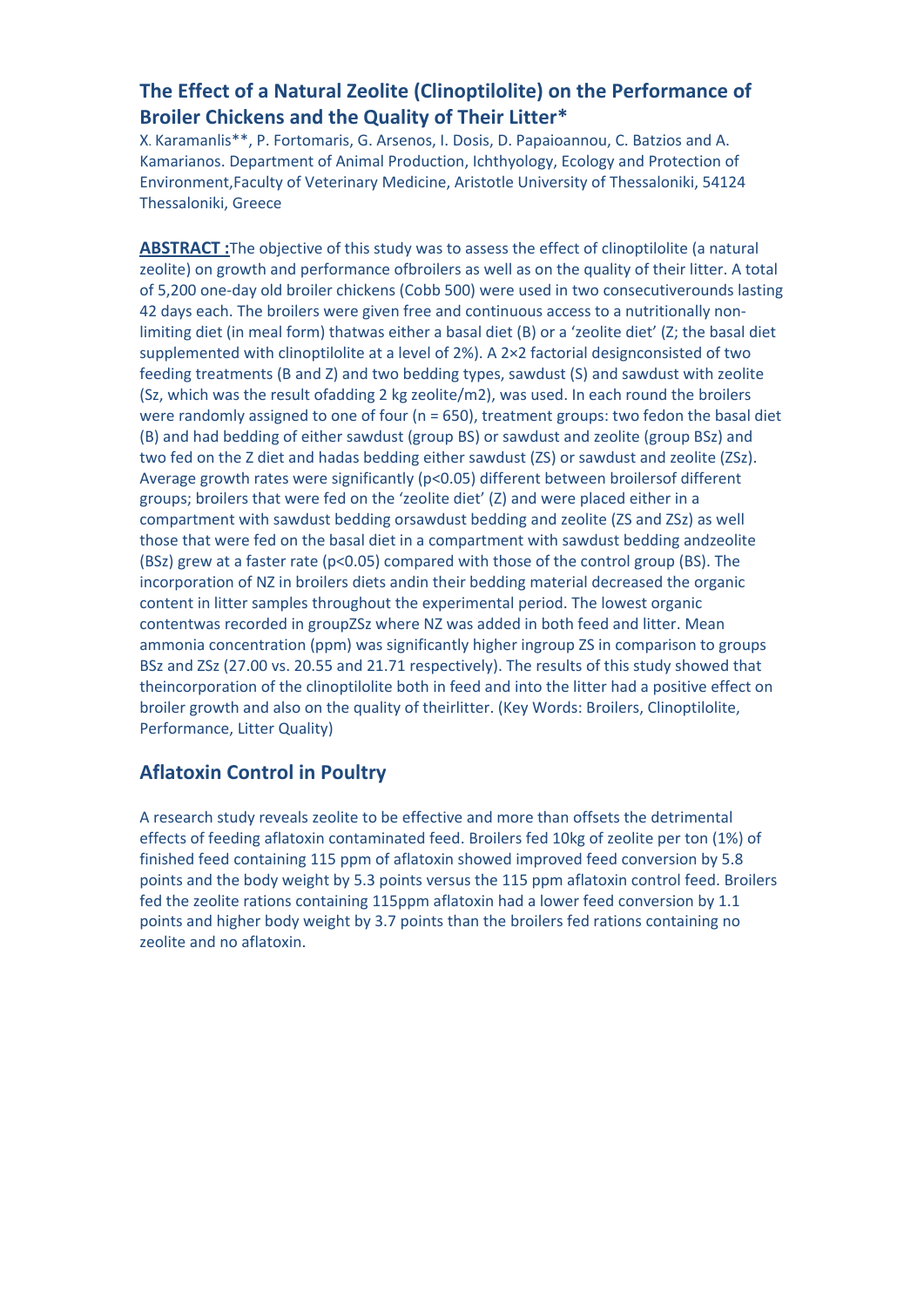## **The Effect of a Natural Zeolite (Clinoptilolite) on the Performance of Broiler Chickens and the Quality of Their Litter\***

X. Karamanlis\*\*, P. Fortomaris, G. Arsenos, I. Dosis, D. Papaioannou, C. Batzios and A. Kamarianos. Department of Animal Production, Ichthyology, Ecology and Protection of Environment,Faculty of Veterinary Medicine, Aristotle University of Thessaloniki, 54124 Thessaloniki, Greece

**ABSTRACT :**The objective of this study was to assess the effect of clinoptilolite (a natural zeolite) on growth and performance ofbroilers as well as on the quality of their litter. A total of 5,200 one-day old broiler chickens (Cobb 500) were used in two consecutiverounds lasting 42 days each. The broilers were given free and continuous access to a nutritionally nonlimiting diet (in meal form) thatwas either a basal diet (B) or a 'zeolite diet' (Z; the basal diet supplemented with clinoptilolite at a level of 2%). A 2×2 factorial designconsisted of two feeding treatments (B and Z) and two bedding types, sawdust (S) and sawdust with zeolite (Sz, which was the result ofadding 2 kg zeolite/m2), was used. In each round the broilers were randomly assigned to one of four (n = 650), treatment groups: two fedon the basal diet (B) and had bedding of either sawdust (group BS) or sawdust and zeolite (group BSz) and two fed on the Z diet and hadas bedding either sawdust (ZS) or sawdust and zeolite (ZSz). Average growth rates were significantly (p<0.05) different between broilersof different groups; broilers that were fed on the 'zeolite diet' (Z) and were placed either in a compartment with sawdust bedding orsawdust bedding and zeolite (ZS and ZSz) as well those that were fed on the basal diet in a compartment with sawdust bedding andzeolite (BSz) grew at a faster rate ( $p$ <0.05) compared with those of the control group (BS). The incorporation of NZ in broilers diets andin their bedding material decreased the organic content in litter samples throughout the experimental period. The lowest organic contentwas recorded in groupZSz where NZ was added in both feed and litter. Mean ammonia concentration (ppm) was significantly higher ingroup ZS in comparison to groups BSz and ZSz (27.00 vs. 20.55 and 21.71 respectively). The results of this study showed that theincorporation of the clinoptilolite both in feed and into the litter had a positive effect on broiler growth and also on the quality of theirlitter. (Key Words: Broilers, Clinoptilolite, Performance, Litter Quality)

### **Aflatoxin Control in Poultry**

A research study reveals zeolite to be effective and more than offsets the detrimental effects of feeding aflatoxin contaminated feed. Broilers fed 10kg of zeolite per ton (1%) of finished feed containing 115 ppm of aflatoxin showed improved feed conversion by 5.8 points and the body weight by 5.3 points versus the 115 ppm aflatoxin control feed. Broilers fed the zeolite rations containing 115ppm aflatoxin had a lower feed conversion by 1.1 points and higher body weight by 3.7 points than the broilers fed rations containing no zeolite and no aflatoxin.